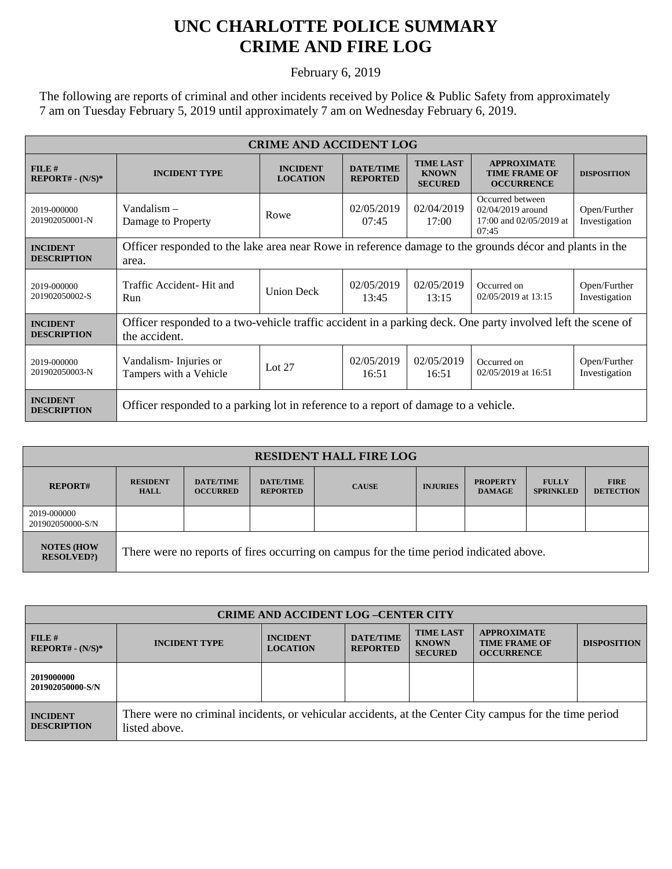## **UNC CHARLOTTE POLICE SUMMARY CRIME AND FIRE LOG**

February 6, 2019

The following are reports of criminal and other incidents received by Police & Public Safety from approximately 7 am on Tuesday February 5, 2019 until approximately 7 am on Wednesday February 6, 2019.

| <b>CRIME AND ACCIDENT LOG</b>         |                                                                                                             |                                    |                                     |                                                    |                                                                           |                               |  |
|---------------------------------------|-------------------------------------------------------------------------------------------------------------|------------------------------------|-------------------------------------|----------------------------------------------------|---------------------------------------------------------------------------|-------------------------------|--|
| FILE#<br>$REPORT# - (N/S)*$           | <b>INCIDENT TYPE</b>                                                                                        | <b>INCIDENT</b><br><b>LOCATION</b> | <b>DATE/TIME</b><br><b>REPORTED</b> | <b>TIME LAST</b><br><b>KNOWN</b><br><b>SECURED</b> | <b>APPROXIMATE</b><br><b>TIME FRAME OF</b><br><b>OCCURRENCE</b>           | <b>DISPOSITION</b>            |  |
| 2019-000000<br>201902050001-N         | Vandalism $-$<br>Damage to Property                                                                         | Rowe                               | 02/05/2019<br>07:45                 | 02/04/2019<br>17:00                                | Occurred between<br>02/04/2019 around<br>17:00 and 02/05/2019 at<br>07:45 | Open/Further<br>Investigation |  |
| <b>INCIDENT</b>                       | Officer responded to the lake area near Rowe in reference damage to the grounds décor and plants in the     |                                    |                                     |                                                    |                                                                           |                               |  |
| <b>DESCRIPTION</b>                    | area.                                                                                                       |                                    |                                     |                                                    |                                                                           |                               |  |
| 2019-000000                           | Traffic Accident- Hit and                                                                                   | <b>Union Deck</b>                  | 02/05/2019                          | 02/05/2019                                         | Occurred on                                                               | Open/Further                  |  |
| 201902050002-S                        | Run                                                                                                         |                                    | 13:45                               | 13:15                                              | 02/05/2019 at 13:15                                                       | Investigation                 |  |
| <b>INCIDENT</b>                       | Officer responded to a two-vehicle traffic accident in a parking deck. One party involved left the scene of |                                    |                                     |                                                    |                                                                           |                               |  |
| <b>DESCRIPTION</b>                    | the accident.                                                                                               |                                    |                                     |                                                    |                                                                           |                               |  |
| 2019-000000                           | Vandalism - Injuries or                                                                                     | Lot $27$                           | 02/05/2019                          | 02/05/2019                                         | Occurred on                                                               | Open/Further                  |  |
| 201902050003-N                        | Tampers with a Vehicle                                                                                      |                                    | 16:51                               | 16:51                                              | 02/05/2019 at 16:51                                                       | Investigation                 |  |
| <b>INCIDENT</b><br><b>DESCRIPTION</b> | Officer responded to a parking lot in reference to a report of damage to a vehicle.                         |                                    |                                     |                                                    |                                                                           |                               |  |

| <b>RESIDENT HALL FIRE LOG</b>          |                                                                                         |                                     |                                     |              |                 |                                  |                                  |                                 |
|----------------------------------------|-----------------------------------------------------------------------------------------|-------------------------------------|-------------------------------------|--------------|-----------------|----------------------------------|----------------------------------|---------------------------------|
| <b>REPORT#</b>                         | <b>RESIDENT</b><br><b>HALL</b>                                                          | <b>DATE/TIME</b><br><b>OCCURRED</b> | <b>DATE/TIME</b><br><b>REPORTED</b> | <b>CAUSE</b> | <b>INJURIES</b> | <b>PROPERTY</b><br><b>DAMAGE</b> | <b>FULLY</b><br><b>SPRINKLED</b> | <b>FIRE</b><br><b>DETECTION</b> |
| 2019-000000<br>201902050000-S/N        |                                                                                         |                                     |                                     |              |                 |                                  |                                  |                                 |
| <b>NOTES (HOW</b><br><b>RESOLVED?)</b> | There were no reports of fires occurring on campus for the time period indicated above. |                                     |                                     |              |                 |                                  |                                  |                                 |

| <b>CRIME AND ACCIDENT LOG-CENTER CITY</b> |                                                                                                                          |                                    |                                     |                                                    |                                                                 |                    |  |
|-------------------------------------------|--------------------------------------------------------------------------------------------------------------------------|------------------------------------|-------------------------------------|----------------------------------------------------|-----------------------------------------------------------------|--------------------|--|
| FILE#<br>$REPORT# - (N/S)*$               | <b>INCIDENT TYPE</b>                                                                                                     | <b>INCIDENT</b><br><b>LOCATION</b> | <b>DATE/TIME</b><br><b>REPORTED</b> | <b>TIME LAST</b><br><b>KNOWN</b><br><b>SECURED</b> | <b>APPROXIMATE</b><br><b>TIME FRAME OF</b><br><b>OCCURRENCE</b> | <b>DISPOSITION</b> |  |
| 2019000000<br>201902050000-S/N            |                                                                                                                          |                                    |                                     |                                                    |                                                                 |                    |  |
| <b>INCIDENT</b><br><b>DESCRIPTION</b>     | There were no criminal incidents, or vehicular accidents, at the Center City campus for the time period<br>listed above. |                                    |                                     |                                                    |                                                                 |                    |  |